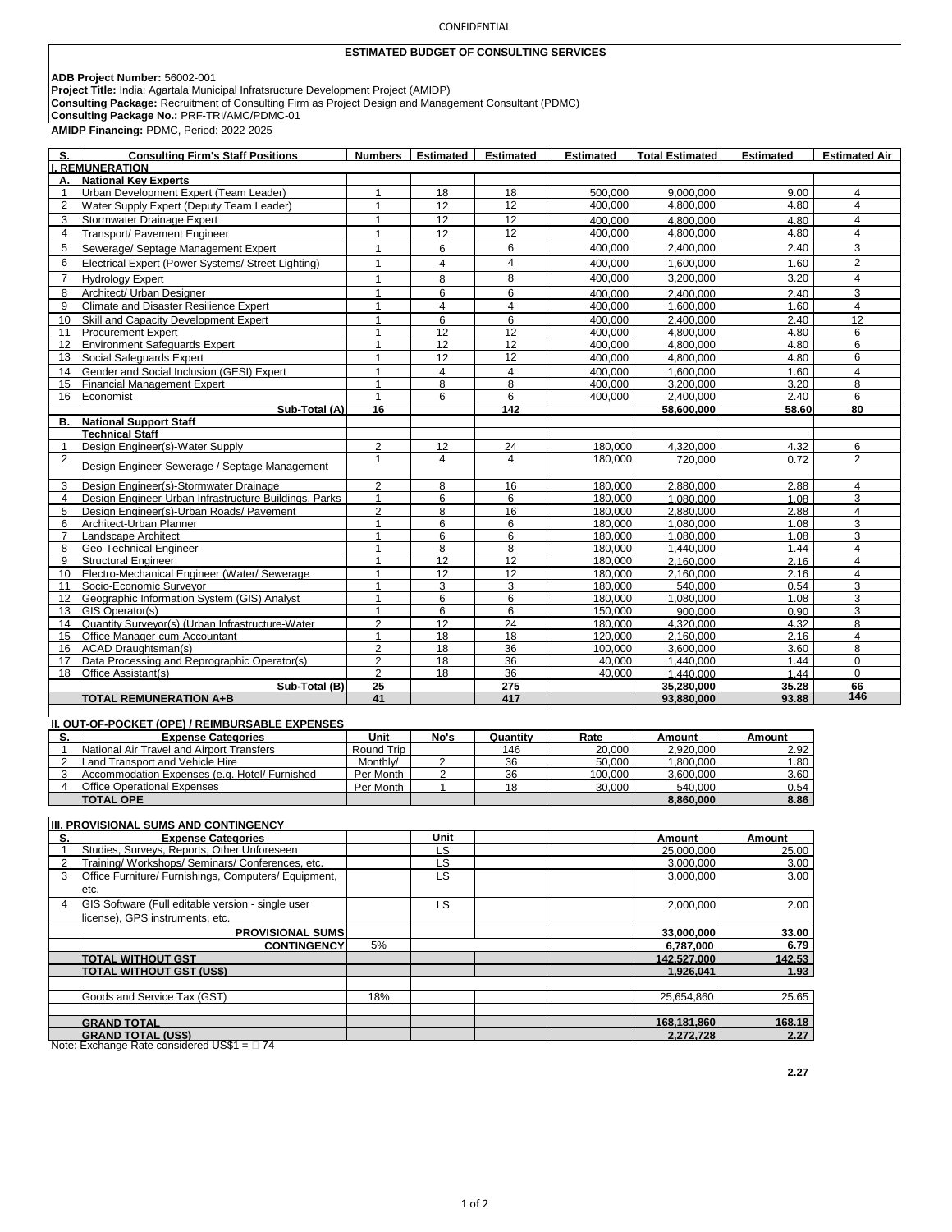## CONFIDENTIAL

## **ESTIMATED BUDGET OF CONSULTING SERVICES**

**ADB Project Number:** 56002-001 **Project Title:** India: Agartala Municipal Infratsructure Development Project (AMIDP)

**Consulting Package:** Recruitment of Consulting Firm as Project Design and Management Consultant (PDMC)

**Consulting Package No.:** PRF-TRI/AMC/PDMC-01

**AMIDP Financing:** PDMC, Period: 2022-2025

| S.                                              | <b>Consulting Firm's Staff Positions</b>                                             |                                |                         | Numbers   Estimated   Estimated | <b>Estimated</b>   | <b>Total Estimated</b> | <b>Estimated</b> | <b>Estimated Air</b> |  |  |
|-------------------------------------------------|--------------------------------------------------------------------------------------|--------------------------------|-------------------------|---------------------------------|--------------------|------------------------|------------------|----------------------|--|--|
|                                                 | <b>REMUNERATION</b>                                                                  |                                |                         |                                 |                    |                        |                  |                      |  |  |
| А.                                              | <b>National Key Experts</b>                                                          |                                |                         |                                 |                    |                        |                  |                      |  |  |
| $\mathbf{1}$                                    | Urban Development Expert (Team Leader)                                               | 1                              | 18                      | 18                              | 500.000            | 9.000.000              | 9.00             | 4                    |  |  |
| $\overline{2}$                                  | Water Supply Expert (Deputy Team Leader)                                             | $\mathbf{1}$                   | 12                      | 12                              | 400,000            | 4,800,000              | 4.80             | $\overline{4}$       |  |  |
| 3                                               | Stormwater Drainage Expert                                                           | 1                              | 12                      | 12                              | 400.000            | 4.800.000              | 4.80             | 4                    |  |  |
| $\overline{4}$                                  | Transport/ Pavement Engineer                                                         | $\mathbf{1}$                   | 12                      | 12                              | 400,000            | 4,800,000              | 4.80             | 4                    |  |  |
| 5                                               | Sewerage/ Septage Management Expert                                                  | $\mathbf{1}$                   | 6                       | 6                               | 400,000            | 2,400,000              | 2.40             | $\overline{3}$       |  |  |
| 6                                               | Electrical Expert (Power Systems/ Street Lighting)                                   | $\mathbf{1}$                   | $\overline{\mathbf{4}}$ | $\overline{\mathbf{4}}$         | 400,000            | 1,600,000              | 1.60             | $\overline{2}$       |  |  |
| $\overline{7}$                                  | <b>Hydrology Expert</b>                                                              | $\mathbf{1}$                   | 8                       | $\overline{8}$                  | 400,000            | 3,200,000              | 3.20             | $\overline{4}$       |  |  |
| 8                                               | Architect/ Urban Designer                                                            | 1                              | 6                       | 6                               | 400.000            | 2.400.000              | 2.40             | 3                    |  |  |
| 9                                               | Climate and Disaster Resilience Expert                                               | $\mathbf{1}$                   | $\overline{4}$          | $\overline{\mathbf{4}}$         | 400,000            | 1,600,000              | 1.60             | $\overline{4}$       |  |  |
| 10                                              | Skill and Capacity Development Expert                                                | 1                              | 6                       | 6                               | 400.000            | 2.400.000              | 2.40             | 12                   |  |  |
| 11                                              | <b>Procurement Expert</b>                                                            | 1                              | 12                      | 12                              | 400,000            | 4,800,000              | 4.80             | 6                    |  |  |
| 12                                              | <b>Environment Safequards Expert</b>                                                 |                                | 12                      | 12                              | 400.000            | 4.800.000              | 4.80             | 6                    |  |  |
| 13                                              | Social Safeguards Expert                                                             | $\mathbf{1}$                   | 12                      | 12                              | 400,000            | 4,800,000              | 4.80             | 6                    |  |  |
| 14                                              | Gender and Social Inclusion (GESI) Expert                                            | 1                              | $\overline{4}$          | $\overline{4}$                  | 400.000            | 1.600.000              | 1.60             | $\overline{4}$       |  |  |
| 15                                              | <b>Financial Management Expert</b>                                                   | 1                              | 8                       | 8                               | 400,000            | 3,200,000              | 3.20             | 8                    |  |  |
| 16                                              | Economist                                                                            | 1                              | 6                       | 6                               | 400,000            | 2,400,000              | 2.40             | 6                    |  |  |
|                                                 | Sub-Total (A)                                                                        | 16                             |                         | 142                             |                    | 58,600,000             | 58.60            | 80                   |  |  |
| В.                                              | <b>National Support Staff</b>                                                        |                                |                         |                                 |                    |                        |                  |                      |  |  |
|                                                 | <b>Technical Staff</b>                                                               |                                |                         |                                 |                    |                        |                  |                      |  |  |
| $\mathbf{1}$                                    | Design Engineer(s)-Water Supply                                                      | $\overline{2}$                 | 12                      | 24                              | 180.000            | 4.320.000              | 4.32             | 6                    |  |  |
| $\overline{2}$                                  |                                                                                      | $\mathbf{1}$                   | $\overline{4}$          | $\overline{4}$                  | 180,000            | 720,000                | 0.72             | 2                    |  |  |
|                                                 | Design Engineer-Sewerage / Septage Management                                        |                                |                         |                                 |                    |                        |                  |                      |  |  |
| 3                                               | Design Engineer(s)-Stormwater Drainage                                               | $\overline{2}$                 | 8                       | 16                              | 180.000            | 2.880.000              | 2.88             | $\overline{4}$       |  |  |
| $\overline{4}$                                  | Design Engineer-Urban Infrastructure Buildings, Parks                                | $\mathbf{1}$                   | 6                       | 6                               | 180.000            | 1.080.000              | 1.08             | 3                    |  |  |
| 5                                               | Design Engineer(s)-Urban Roads/ Pavement                                             | $\overline{2}$                 | 8                       | 16                              | 180,000            | 2.880.000              | 2.88             | 4                    |  |  |
| 6                                               | Architect-Urban Planner                                                              | $\mathbf{1}$                   | 6                       | 6                               | 180,000            | 1,080,000              | 1.08             | 3                    |  |  |
| $\overline{7}$                                  | Landscape Architect                                                                  | 1                              | 6                       | 6                               | 180,000            | 1,080,000              | 1.08             | 3                    |  |  |
| 8                                               | Geo-Technical Engineer                                                               | $\mathbf{1}$                   | 8                       | 8                               | 180.000            | 1,440,000              | 1.44             | $\overline{4}$       |  |  |
| 9                                               | <b>Structural Engineer</b>                                                           | 1                              | 12                      | 12                              | 180,000            | 2,160,000              | 2.16             | 4                    |  |  |
| 10                                              | Electro-Mechanical Engineer (Water/ Sewerage                                         | $\overline{1}$                 | 12                      | 12                              | 180,000            | 2,160,000              | 2.16             | 4                    |  |  |
| 11                                              | Socio-Economic Surveyor                                                              | 1<br>1                         | 3                       | 3                               | 180,000            | 540,000                | 0.54             | 3                    |  |  |
| 12                                              | Geographic Information System (GIS) Analyst                                          |                                | 6                       | 6                               | 180,000            | 1,080,000              | 1.08             | 3                    |  |  |
| 13                                              | GIS Operator(s)<br>Quantity Surveyor(s) (Urban Infrastructure-Water                  | $\mathbf{1}$<br>$\overline{2}$ | 6<br>12                 | 6                               | 150,000            | 900,000                | 0.90             | 3                    |  |  |
| 14<br>15                                        | Office Manager-cum-Accountant                                                        | $\mathbf{1}$                   | 18                      | 24<br>18                        | 180,000<br>120.000 | 4,320,000<br>2,160,000 | 4.32<br>2.16     | 8<br>4               |  |  |
| 16                                              | <b>ACAD Draughtsman(s)</b>                                                           | $\overline{2}$                 | 18                      | 36                              | 100.000            | 3,600,000              | 3.60             | 8                    |  |  |
| 17                                              | Data Processing and Reprographic Operator(s)                                         | $\overline{2}$                 | 18                      | 36                              | 40,000             | 1,440,000              | 1.44             | $\mathbf 0$          |  |  |
| 18                                              | Office Assistant(s)                                                                  | $\overline{2}$                 | 18                      | 36                              | 40,000             | 1,440,000              | 1.44             | $\mathbf 0$          |  |  |
|                                                 | Sub-Total (B)                                                                        | 25                             |                         | 275                             |                    | 35,280,000             | 35.28            | 66                   |  |  |
|                                                 | <b>TOTAL REMUNERATION A+B</b>                                                        | 41                             |                         | 417                             |                    | 93.880.000             | 93.88            | 146                  |  |  |
|                                                 |                                                                                      |                                |                         |                                 |                    |                        |                  |                      |  |  |
| II. OUT-OF-POCKET (OPE) / REIMBURSABLE EXPENSES |                                                                                      |                                |                         |                                 |                    |                        |                  |                      |  |  |
| s.                                              | <b>Expense Categories</b>                                                            | Unit                           | No's                    | Quantity                        | Rate               | Amount                 | Amount           |                      |  |  |
| $\mathbf{1}$                                    | National Air Travel and Airport Transfers                                            | Round Trip                     |                         | 146                             | 20,000             | 2,920,000              | 2.92             |                      |  |  |
| $\overline{2}$                                  | Land Transport and Vehicle Hire                                                      | Monthly/                       | $\overline{2}$          | 36                              | 50.000             | 1,800,000              | 1.80             |                      |  |  |
| 3                                               | Accommodation Expenses (e.g. Hotel/ Furnished                                        | Per Month                      | $\overline{2}$          | 36                              | 100,000            | 3,600,000              | 3.60             |                      |  |  |
| 4                                               | <b>Office Operational Expenses</b>                                                   | Per Month                      | $\mathbf{1}$            | 18                              | 30,000             | 540,000                | 0.54             |                      |  |  |
|                                                 | <b>TOTAL OPE</b>                                                                     |                                |                         |                                 |                    | 8,860,000              | 8.86             |                      |  |  |
| III. PROVISIONAL SUMS AND CONTINGENCY           |                                                                                      |                                |                         |                                 |                    |                        |                  |                      |  |  |
|                                                 | <b>Expense Categories</b>                                                            |                                |                         |                                 |                    |                        |                  |                      |  |  |
| S.<br>$\mathbf{1}$                              | Studies, Surveys, Reports, Other Unforeseen                                          |                                | Unit<br>LS              |                                 |                    | Amount<br>25,000,000   | Amount<br>25.00  |                      |  |  |
| $\overline{2}$                                  | Training/ Workshops/ Seminars/ Conferences, etc.                                     |                                | LS                      |                                 |                    | 3,000,000              | 3.00             |                      |  |  |
| 3                                               | Office Furniture/ Furnishings, Computers/ Equipment,                                 |                                | LS                      |                                 |                    | 3,000,000              | 3.00             |                      |  |  |
|                                                 | etc.                                                                                 |                                |                         |                                 |                    |                        |                  |                      |  |  |
| $\overline{4}$                                  | GIS Software (Full editable version - single user<br>license), GPS instruments, etc. |                                | LS                      |                                 |                    | 2,000,000              | 2.00             |                      |  |  |

| <b>PROVISIONAL SUMS</b>                          |     | 33,000,000  | 33.00  |  |  |  |  |  |
|--------------------------------------------------|-----|-------------|--------|--|--|--|--|--|
| <b>CONTINGENCY</b>                               | 5%  | 6,787,000   | 6.79   |  |  |  |  |  |
| <b>TOTAL WITHOUT GST</b>                         |     | 142.527.000 | 142.53 |  |  |  |  |  |
| <b>TOTAL WITHOUT GST (US\$)</b>                  |     | 1.926.041   | 1.93   |  |  |  |  |  |
|                                                  |     |             |        |  |  |  |  |  |
| Goods and Service Tax (GST)                      | 18% | 25.654.860  | 25.65  |  |  |  |  |  |
|                                                  |     |             |        |  |  |  |  |  |
| <b>GRAND TOTAL</b>                               |     | 168.181.860 | 168.18 |  |  |  |  |  |
| <b>GRAND TOTAL (US\$)</b>                        |     | 2,272,728   | 2.27   |  |  |  |  |  |
| Note: Exchange Rate considered US\$1 = $\Box$ 74 |     |             |        |  |  |  |  |  |